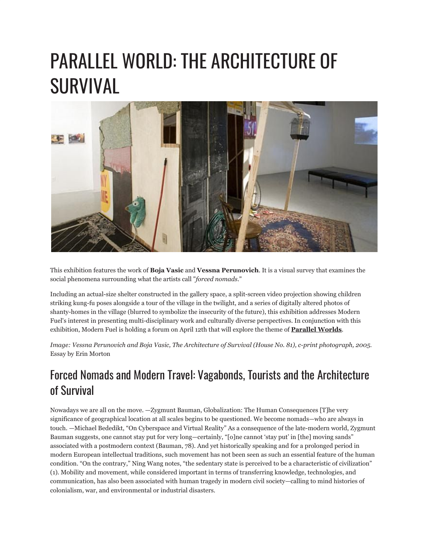## PARALLEL WORLD: THE ARCHITECTURE OF SURVIVAL



This exhibition features the work of **Boja Vasic** and **Vessna Perunovich**. It is a visual survey that examines the social phenomena surrounding what the artists call "*forced nomads.*"

Including an actual-size shelter constructed in the gallery space, a split-screen video projection showing children striking kung-fu poses alongside a tour of the village in the twilight, and a series of digitally altered photos of shanty-homes in the village (blurred to symbolize the insecurity of the future), this exhibition addresses Modern Fuel's interest in presenting multi-disciplinary work and culturally diverse perspectives. In conjunction with this exhibition, Modern Fuel is holding a forum on April 12th that will explore the theme of **[Parallel Worlds](http://www.modernfuel.org/art/programming/event/182)**.

*Image: Vessna Perunovich and Boja Vasic, The Architecture of Survival (House No. 81), c-print photograph, 2005.* Essay by Erin Morton

## Forced Nomads and Modern Travel: Vagabonds, Tourists and the Architecture of Survival

Nowadays we are all on the move. —Zygmunt Bauman, Globalization: The Human Consequences [T]he very significance of geographical location at all scales begins to be questioned. We become nomads—who are always in touch. —Michael Bededikt, "On Cyberspace and Virtual Reality" As a consequence of the late-modern world, Zygmunt Bauman suggests, one cannot stay put for very long—certainly, "[o]ne cannot 'stay put' in [the] moving sands" associated with a postmodern context (Bauman, 78). And yet historically speaking and for a prolonged period in modern European intellectual traditions, such movement has not been seen as such an essential feature of the human condition. "On the contrary," Ning Wang notes, "the sedentary state is perceived to be a characteristic of civilization" (1). Mobility and movement, while considered important in terms of transferring knowledge, technologies, and communication, has also been associated with human tragedy in modern civil society—calling to mind histories of colonialism, war, and environmental or industrial disasters.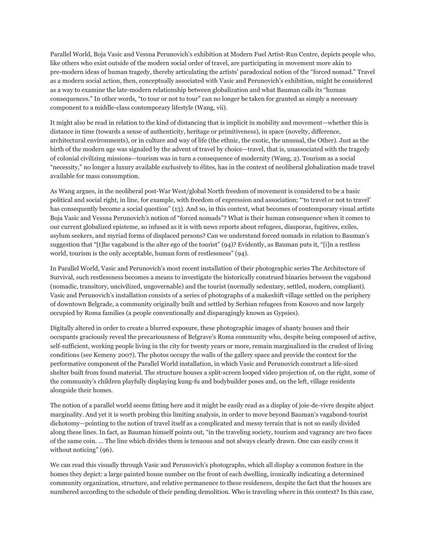Parallel World, Boja Vasic and Vessna Perunovich's exhibition at Modern Fuel Artist-Run Centre, depicts people who, like others who exist outside of the modern social order of travel, are participating in movement more akin to pre-modern ideas of human tragedy, thereby articulating the artists' paradoxical notion of the "forced nomad." Travel as a modern social action, then, conceptually associated with Vasic and Perunovich's exhibition, might be considered as a way to examine the late-modern relationship between globalization and what Bauman calls its "human consequences." In other words, "to tour or not to tour" can no longer be taken for granted as simply a necessary component to a middle-class contemporary lifestyle (Wang, vii).

It might also be read in relation to the kind of distancing that is implicit in mobility and movement—whether this is distance in time (towards a sense of authenticity, heritage or primitiveness), in space (novelty, difference, architectural environments), or in culture and way of life (the ethnic, the exotic, the unusual, the Other). Just as the birth of the modern age was signaled by the advent of travel by choice—travel, that is, unassociated with the tragedy of colonial civilizing missions—tourism was in turn a consequence of modernity (Wang, 2). Tourism as a social "necessity," no longer a luxury available exclusively to élites, has in the context of neoliberal globalization made travel available for mass consumption.

As Wang argues, in the neoliberal post-War West/global North freedom of movement is considered to be a basic political and social right, in line, for example, with freedom of expression and association; "'to travel or not to travel' has consequently become a social question" (13). And so, in this context, what becomes of contemporary visual artists Boja Vasic and Vessna Perunovich's notion of "forced nomads"? What is their human consequence when it comes to our current globalized episteme, so infused as it is with news reports about refugees, diasporas, fugitives, exiles, asylum seekers, and myriad forms of displaced persons? Can we understand forced nomads in relation to Bauman's suggestion that "[t]he vagabond is the alter ego of the tourist" (94)? Evidently, as Bauman puts it, "[i]n a restless world, tourism is the only acceptable, human form of restlessness" (94).

In Parallel World, Vasic and Perunovich's most recent installation of their photographic series The Architecture of Survival, such restlessness becomes a means to investigate the historically construed binaries between the vagabond (nomadic, transitory, uncivilized, ungovernable) and the tourist (normally sedentary, settled, modern, compliant). Vasic and Perunovich's installation consists of a series of photographs of a makeshift village settled on the periphery of downtown Belgrade, a community originally built and settled by Serbian refugees from Kosovo and now largely occupied by Roma families (a people conventionally and disparagingly known as Gypsies).

Digitally altered in order to create a blurred exposure, these photographic images of shanty houses and their occupants graciously reveal the precariousness of Belgrave's Roma community who, despite being composed of active, self-sufficient, working people living in the city for twenty years or more, remain marginalized in the crudest of living conditions (see Kemeny 2007). The photos occupy the walls of the gallery space and provide the context for the performative component of the Parallel World installation, in which Vasic and Perunovich construct a life-sized shelter built from found material. The structure houses a split-screen looped video projection of, on the right, some of the community's children playfully displaying kung-fu and bodybuilder poses and, on the left, village residents alongside their homes.

The notion of a parallel world seems fitting here and it might be easily read as a display of joie-de-vivre despite abject marginality. And yet it is worth probing this limiting analysis, in order to move beyond Bauman's vagabond-tourist dichotomy—pointing to the notion of travel itself as a complicated and messy terrain that is not so easily divided along these lines. In fact, as Bauman himself points out, "in the traveling society, tourism and vagrancy are two faces of the same coin. … The line which divides them is tenuous and not always clearly drawn. One can easily cross it without noticing" (96).

We can read this visually through Vasic and Perunovich's photographs, which all display a common feature in the homes they depict: a large painted house number on the front of each dwelling, ironically indicating a determined community organization, structure, and relative permanence to these residences, despite the fact that the houses are numbered according to the schedule of their pending demolition. Who is traveling where in this context? In this case,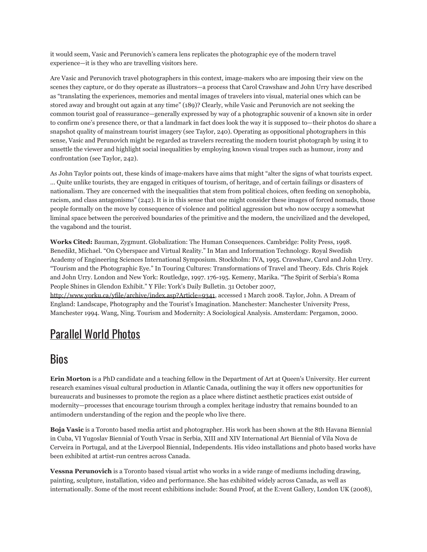it would seem, Vasic and Perunovich's camera lens replicates the photographic eye of the modern travel experience—it is they who are travelling visitors here.

Are Vasic and Perunovich travel photographers in this context, image-makers who are imposing their view on the scenes they capture, or do they operate as illustrators—a process that Carol Crawshaw and John Urry have described as "translating the experiences, memories and mental images of travelers into visual, material ones which can be stored away and brought out again at any time" (189)? Clearly, while Vasic and Perunovich are not seeking the common tourist goal of reassurance—generally expressed by way of a photographic souvenir of a known site in order to confirm one's presence there, or that a landmark in fact does look the way it is supposed to—their photos do share a snapshot quality of mainstream tourist imagery (see Taylor, 240). Operating as oppositional photographers in this sense, Vasic and Perunovich might be regarded as travelers recreating the modern tourist photograph by using it to unsettle the viewer and highlight social inequalities by employing known visual tropes such as humour, irony and confrontation (see Taylor, 242).

As John Taylor points out, these kinds of image-makers have aims that might "alter the signs of what tourists expect. … Quite unlike tourists, they are engaged in critiques of tourism, of heritage, and of certain failings or disasters of nationalism. They are concerned with the inequalities that stem from political choices, often feeding on xenophobia, racism, and class antagonisms" (242). It is in this sense that one might consider these images of forced nomads, those people formally on the move by consequence of violence and political aggression but who now occupy a somewhat liminal space between the perceived boundaries of the primitive and the modern, the uncivilized and the developed, the vagabond and the tourist.

**Works Cited:** Bauman, Zygmunt. Globalization: The Human Consequences. Cambridge: Polity Press, 1998. Benedikt, Michael. "On Cyberspace and Virtual Reality." In Man and Information Technology. Royal Swedish Academy of Engineering Sciences International Symposium. Stockholm: IVA, 1995. Crawshaw, Carol and John Urry. "Tourism and the Photographic Eye." In Touring Cultures: Transformations of Travel and Theory. Eds. Chris Rojek and John Urry. London and New York: Routledge, 1997. 176-195. Kemeny, Marika. "The Spirit of Serbia's Roma People Shines in Glendon Exhibit." Y File: York's Daily Bulletin. 31 October 2007, <http://www.yorku.ca/yfile/archive/index.asp?Article=9341>, accessed 1 March 2008. Taylor, John. A Dream of

England: Landscape, Photography and the Tourist's Imagination. Manchester: Manchester University Press, Manchester 1994. Wang, Ning. Tourism and Modernity: A Sociological Analysis. Amsterdam: Pergamon, 2000.

## [Parallel](http://www.flickr.com/photos/modernfuel/sets/72157604568806060/) World Photos

## Bios

**Erin Morton** is a PhD candidate and a teaching fellow in the Department of Art at Queen's University. Her current research examines visual cultural production in Atlantic Canada, outlining the way it offers new opportunities for bureaucrats and businesses to promote the region as a place where distinct aesthetic practices exist outside of modernity—processes that encourage tourism through a complex heritage industry that remains bounded to an antimodern understanding of the region and the people who live there.

**Boja Vasic** is a Toronto based media artist and photographer. His work has been shown at the 8th Havana Biennial in Cuba, VI Yugoslav Biennial of Youth Vrsac in Serbia, XIII and XIV International Art Biennial of Vila Nova de Cerveira in Portugal, and at the Liverpool Biennial, Independents. His video installations and photo based works have been exhibited at artist-run centres across Canada.

**Vessna Perunovich** is a Toronto based visual artist who works in a wide range of mediums including drawing, painting, sculpture, installation, video and performance. She has exhibited widely across Canada, as well as internationally. Some of the most recent exhibitions include: Sound Proof, at the E:vent Gallery, London UK (2008),